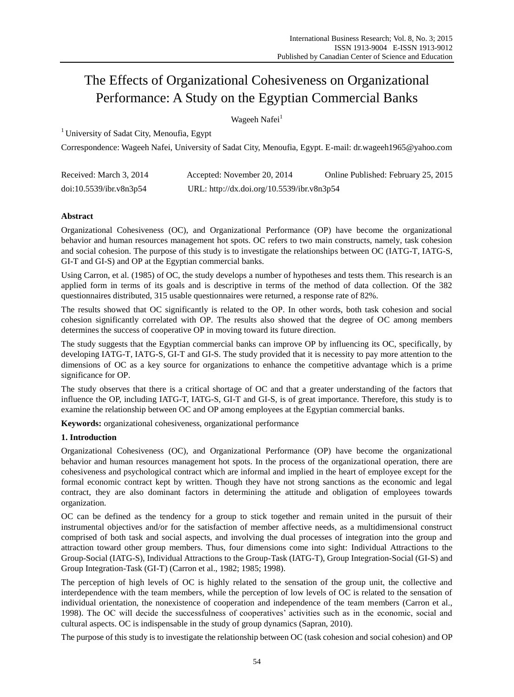# The Effects of Organizational Cohesiveness on Organizational Performance: A Study on the Egyptian Commercial Banks

Wageeh Nafei<sup>1</sup>

<sup>1</sup> University of Sadat City, Menoufia, Egypt

Correspondence: Wageeh Nafei, University of Sadat City, Menoufia, Egypt. E-mail: dr.wageeh1965@yahoo.com

| Received: March 3, 2014 | Accepted: November 20, 2014                | Online Published: February 25, 2015 |
|-------------------------|--------------------------------------------|-------------------------------------|
| doi:10.5539/ibr.v8n3p54 | URL: http://dx.doi.org/10.5539/ibr.v8n3p54 |                                     |

# **Abstract**

Organizational Cohesiveness (OC), and Organizational Performance (OP) have become the organizational behavior and human resources management hot spots. OC refers to two main constructs, namely, task cohesion and social cohesion. The purpose of this study is to investigate the relationships between OC (IATG-T, IATG-S, GI-T and GI-S) and OP at the Egyptian commercial banks.

Using Carron, et al. (1985) of OC, the study develops a number of hypotheses and tests them. This research is an applied form in terms of its goals and is descriptive in terms of the method of data collection. Of the 382 questionnaires distributed, 315 usable questionnaires were returned, a response rate of 82%.

The results showed that OC significantly is related to the OP. In other words, both task cohesion and social cohesion significantly correlated with OP. The results also showed that the degree of OC among members determines the success of cooperative OP in moving toward its future direction.

The study suggests that the Egyptian commercial banks can improve OP by influencing its OC, specifically, by developing IATG-T, IATG-S, GI-T and GI-S. The study provided that it is necessity to pay more attention to the dimensions of OC as a key source for organizations to enhance the competitive advantage which is a prime significance for OP.

The study observes that there is a critical shortage of OC and that a greater understanding of the factors that influence the OP, including IATG-T, IATG-S, GI-T and GI-S, is of great importance. Therefore, this study is to examine the relationship between OC and OP among employees at the Egyptian commercial banks.

**Keywords:** organizational cohesiveness, organizational performance

## **1. Introduction**

Organizational Cohesiveness (OC), and Organizational Performance (OP) have become the organizational behavior and human resources management hot spots. In the process of the organizational operation, there are cohesiveness and psychological contract which are informal and implied in the heart of employee except for the formal economic contract kept by written. Though they have not strong sanctions as the economic and legal contract, they are also dominant factors in determining the attitude and obligation of employees towards organization.

OC can be defined as the tendency for a group to stick together and remain united in the pursuit of their instrumental objectives and/or for the satisfaction of member affective needs, as a multidimensional construct comprised of both task and social aspects, and involving the dual processes of integration into the group and attraction toward other group members. Thus, four dimensions come into sight: Individual Attractions to the Group-Social (IATG-S), Individual Attractions to the Group-Task (IATG-T), Group Integration-Social (GI-S) and Group Integration-Task (GI-T) (Carron et al., 1982; 1985; 1998).

The perception of high levels of OC is highly related to the sensation of the group unit, the collective and interdependence with the team members, while the perception of low levels of OC is related to the sensation of individual orientation, the nonexistence of cooperation and independence of the team members (Carron et al., 1998). The OC will decide the successfulness of cooperatives' activities such as in the economic, social and cultural aspects. OC is indispensable in the study of group dynamics (Sapran, 2010).

The purpose of this study is to investigate the relationship between OC (task cohesion and social cohesion) and OP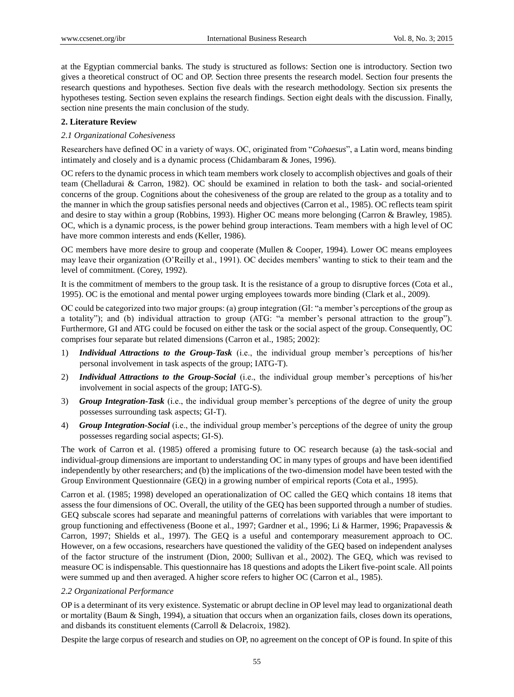at the Egyptian commercial banks. The study is structured as follows: Section one is introductory. Section two gives a theoretical construct of OC and OP. Section three presents the research model. Section four presents the research questions and hypotheses. Section five deals with the research methodology. Section six presents the hypotheses testing. Section seven explains the research findings. Section eight deals with the discussion. Finally, section nine presents the main conclusion of the study.

# **2. Literature Review**

# *2.1 Organizational Cohesiveness*

Researchers have defined OC in a variety of ways. OC, originated from "*Cohaesus*", a Latin word, means binding intimately and closely and is a dynamic process (Chidambaram & Jones, 1996).

OC refers to the dynamic process in which team members work closely to accomplish objectives and goals of their team (Chelladurai & Carron, 1982). OC should be examined in relation to both the task- and social-oriented concerns of the group. Cognitions about the cohesiveness of the group are related to the group as a totality and to the manner in which the group satisfies personal needs and objectives (Carron et al., 1985). OC reflects team spirit and desire to stay within a group (Robbins, 1993). Higher OC means more belonging (Carron & Brawley, 1985). OC, which is a dynamic process, is the power behind group interactions. Team members with a high level of OC have more common interests and ends (Keller, 1986).

OC members have more desire to group and cooperate (Mullen & Cooper, 1994). Lower OC means employees may leave their organization (O'Reilly et al., 1991). OC decides members' wanting to stick to their team and the level of commitment. (Corey, 1992).

It is the commitment of members to the group task. It is the resistance of a group to disruptive forces (Cota et al., 1995). OC is the emotional and mental power urging employees towards more binding (Clark et al., 2009).

OC could be categorized into two major groups: (a) group integration (GI: "a member's perceptions of the group as a totality"); and (b) individual attraction to group (ATG: "a member's personal attraction to the group"). Furthermore, GI and ATG could be focused on either the task or the social aspect of the group. Consequently, OC comprises four separate but related dimensions (Carron et al., 1985; 2002):

- 1) *Individual Attractions to the Group-Task* (i.e., the individual group member's perceptions of his/her personal involvement in task aspects of the group; IATG-T).
- 2) *Individual Attractions to the Group-Social* (i.e., the individual group member's perceptions of his/her involvement in social aspects of the group; IATG-S).
- 3) *Group Integration-Task* (i.e., the individual group member's perceptions of the degree of unity the group possesses surrounding task aspects; GI-T).
- 4) *Group Integration-Social* (i.e., the individual group member's perceptions of the degree of unity the group possesses regarding social aspects; GI-S).

The work of Carron et al. (1985) offered a promising future to OC research because (a) the task-social and individual-group dimensions are important to understanding OC in many types of groups and have been identified independently by other researchers; and (b) the implications of the two-dimension model have been tested with the Group Environment Questionnaire (GEQ) in a growing number of empirical reports (Cota et al., 1995).

Carron et al. (1985; 1998) developed an operationalization of OC called the GEQ which contains 18 items that assess the four dimensions of OC. Overall, the utility of the GEQ has been supported through a number of studies. GEQ subscale scores had separate and meaningful patterns of correlations with variables that were important to group functioning and effectiveness (Boone et al., 1997; Gardner et al., 1996; Li & Harmer, 1996; Prapavessis & Carron, 1997; Shields et al., 1997). The GEQ is a useful and contemporary measurement approach to OC. However, on a few occasions, researchers have questioned the validity of the GEQ based on independent analyses of the factor structure of the instrument (Dion, 2000; Sullivan et al., 2002). The GEQ, which was revised to measure OC is indispensable. This questionnaire has 18 questions and adopts the Likert five-point scale. All points were summed up and then averaged. A higher score refers to higher OC (Carron et al., 1985).

# *2.2 Organizational Performance*

OP is a determinant of its very existence. Systematic or abrupt decline in OP level may lead to organizational death or mortality (Baum & Singh, 1994), a situation that occurs when an organization fails, closes down its operations, and disbands its constituent elements (Carroll & Delacroix, 1982).

Despite the large corpus of research and studies on OP, no agreement on the concept of OP is found. In spite of this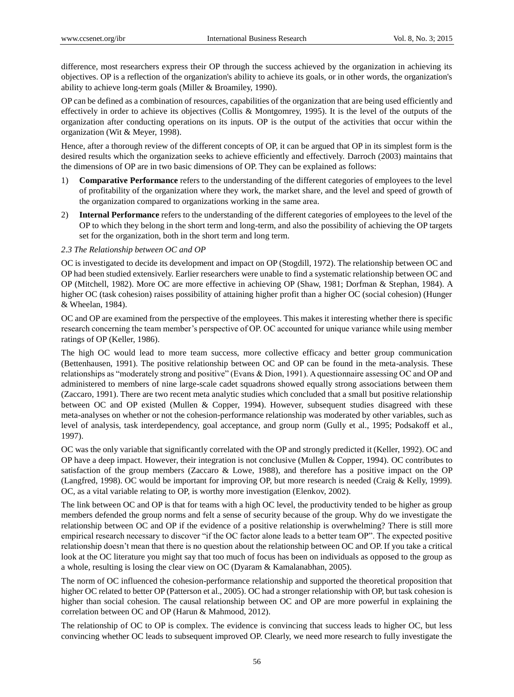difference, most researchers express their OP through the success achieved by the organization in achieving its objectives. OP is a reflection of the organization's ability to achieve its goals, or in other words, the organization's ability to achieve long-term goals (Miller & Broamiley, 1990).

OP can be defined as a combination of resources, capabilities of the organization that are being used efficiently and effectively in order to achieve its objectives (Collis & Montgomrey, 1995). It is the level of the outputs of the organization after conducting operations on its inputs. OP is the output of the activities that occur within the organization (Wit & Meyer, 1998).

Hence, after a thorough review of the different concepts of OP, it can be argued that OP in its simplest form is the desired results which the organization seeks to achieve efficiently and effectively. Darroch (2003) maintains that the dimensions of OP are in two basic dimensions of OP. They can be explained as follows:

- 1) **Comparative Performance** refers to the understanding of the different categories of employees to the level of profitability of the organization where they work, the market share, and the level and speed of growth of the organization compared to organizations working in the same area.
- 2) **Internal Performance** refers to the understanding of the different categories of employees to the level of the OP to which they belong in the short term and long-term, and also the possibility of achieving the OP targets set for the organization, both in the short term and long term.

## *2.3 The Relationship between OC and OP*

OC is investigated to decide its development and impact on OP (Stogdill, 1972). The relationship between OC and OP had been studied extensively. Earlier researchers were unable to find a systematic relationship between OC and OP (Mitchell, 1982). More OC are more effective in achieving OP (Shaw, 1981; Dorfman & Stephan, 1984). A higher OC (task cohesion) raises possibility of attaining higher profit than a higher OC (social cohesion) (Hunger & Wheelan, 1984).

OC and OP are examined from the perspective of the employees. This makes it interesting whether there is specific research concerning the team member's perspective of OP. OC accounted for unique variance while using member ratings of OP (Keller, 1986).

The high OC would lead to more team success, more collective efficacy and better group communication (Bettenhausen, 1991). The positive relationship between OC and OP can be found in the meta-analysis. These relationships as "moderately strong and positive" (Evans & Dion, 1991). A questionnaire assessing OC and OP and administered to members of nine large-scale cadet squadrons showed equally strong associations between them (Zaccaro, 1991). There are two recent meta analytic studies which concluded that a small but positive relationship between OC and OP existed (Mullen & Copper, 1994). However, subsequent studies disagreed with these meta-analyses on whether or not the cohesion-performance relationship was moderated by other variables, such as level of analysis, task interdependency, goal acceptance, and group norm (Gully et al., 1995; Podsakoff et al., 1997).

OC was the only variable that significantly correlated with the OP and strongly predicted it (Keller, 1992). OC and OP have a deep impact. However, their integration is not conclusive (Mullen & Copper, 1994). OC contributes to satisfaction of the group members (Zaccaro & Lowe, 1988), and therefore has a positive impact on the OP (Langfred, 1998). OC would be important for improving OP, but more research is needed (Craig & Kelly, 1999). OC, as a vital variable relating to OP, is worthy more investigation (Elenkov, 2002).

The link between OC and OP is that for teams with a high OC level, the productivity tended to be higher as group members defended the group norms and felt a sense of security because of the group. Why do we investigate the relationship between OC and OP if the evidence of a positive relationship is overwhelming? There is still more empirical research necessary to discover "if the OC factor alone leads to a better team OP". The expected positive relationship doesn't mean that there is no question about the relationship between OC and OP. If you take a critical look at the OC literature you might say that too much of focus has been on individuals as opposed to the group as a whole, resulting is losing the clear view on OC (Dyaram & Kamalanabhan, 2005).

The norm of OC influenced the cohesion-performance relationship and supported the theoretical proposition that higher OC related to better OP (Patterson et al., 2005). OC had a stronger relationship with OP, but task cohesion is higher than social cohesion. The causal relationship between OC and OP are more powerful in explaining the correlation between OC and OP (Harun & Mahmood, 2012).

The relationship of OC to OP is complex. The evidence is convincing that success leads to higher OC, but less convincing whether OC leads to subsequent improved OP. Clearly, we need more research to fully investigate the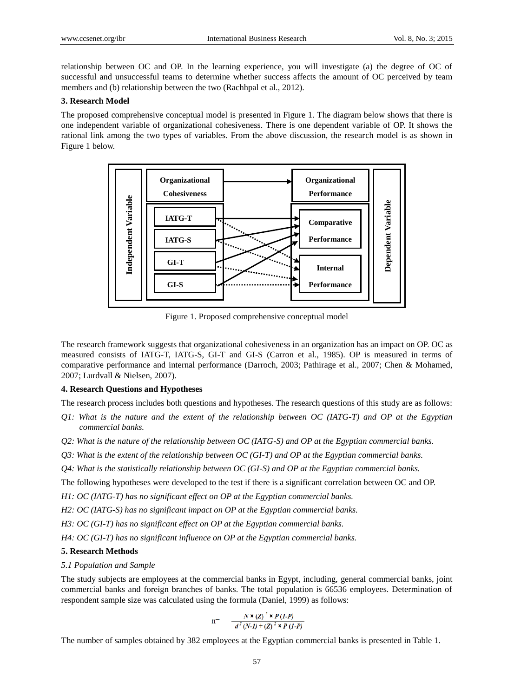relationship between OC and OP. In the learning experience, you will investigate (a) the degree of OC of successful and unsuccessful teams to determine whether success affects the amount of OC perceived by team members and (b) relationship between the two (Rachhpal et al., 2012).

## **3. Research Model**

The proposed comprehensive conceptual model is presented in Figure 1. The diagram below shows that there is one independent variable of organizational cohesiveness. There is one dependent variable of OP. It shows the rational link among the two types of variables. From the above discussion, the research model is as shown in Figure 1 below.



Figure 1. Proposed comprehensive conceptual model

The research framework suggests that organizational cohesiveness in an organization has an impact on OP. OC as measured consists of IATG-T, IATG-S, GI-T and GI-S (Carron et al., 1985). OP is measured in terms of comparative performance and internal performance (Darroch, 2003; Pathirage et al., 2007; Chen & Mohamed, 2007; Lurdvall & Nielsen, 2007).

## **4. Research Questions and Hypotheses**

The research process includes both questions and hypotheses. The research questions of this study are as follows:

- *Q1: What is the nature and the extent of the relationship between OC (IATG-T) and OP at the Egyptian commercial banks.*
- *Q2: What is the nature of the relationship between OC (IATG-S) and OP at the Egyptian commercial banks.*
- *Q3: What is the extent of the relationship between OC (GI-T) and OP at the Egyptian commercial banks.*
- *Q4: What is the statistically relationship between OC (GI-S) and OP at the Egyptian commercial banks.*

The following hypotheses were developed to the test if there is a significant correlation between OC and OP.

*H1: OC (IATG-T) has no significant effect on OP at the Egyptian commercial banks.* 

*H2: OC (IATG-S) has no significant impact on OP at the Egyptian commercial banks.* 

*H3: OC (GI-T) has no significant effect on OP at the Egyptian commercial banks.* 

*H4: OC (GI-T) has no significant influence on OP at the Egyptian commercial banks.* 

## **5. Research Methods**

*5.1 Population and Sample*

The study subjects are employees at the commercial banks in Egypt, including, general commercial banks, joint commercial banks and foreign branches of banks. The total population is 66536 employees. Determination of respondent sample size was calculated using the formula (Daniel, 1999) as follows:

$$
n = \frac{N \times (Z)^2 \times P (1-P)}{d^2 (N-I) + (Z)^2 \times P (1-P)}
$$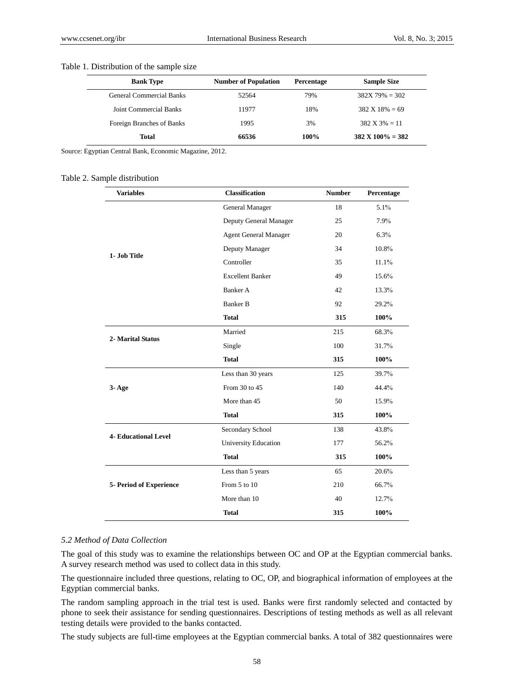## Table 1. Distribution of the sample size

| <b>Bank Type</b>                | <b>Number of Population</b> | <b>Percentage</b> | <b>Sample Size</b>           |
|---------------------------------|-----------------------------|-------------------|------------------------------|
| <b>General Commercial Banks</b> | 52564                       | 79%               | $382X79\% = 302$             |
| Joint Commercial Banks          | 11977                       | 18%               | $382 \text{ X} 18\% = 69$    |
| Foreign Branches of Banks       | 1995                        | 3%                | $382 \text{ X } 3\% = 11$    |
| Total                           | 66536                       | 100%              | $382 \text{ X } 100\% = 382$ |

Source: Egyptian Central Bank, Economic Magazine, 2012.

#### Table 2. Sample distribution

| <b>Variables</b>            | <b>Classification</b>        | <b>Number</b> | Percentage |
|-----------------------------|------------------------------|---------------|------------|
|                             | General Manager              | 18            | 5.1%       |
|                             | Deputy General Manager       | 25            | 7.9%       |
|                             | <b>Agent General Manager</b> | 20            | 6.3%       |
| 1- Job Title                | Deputy Manager               | 34            | 10.8%      |
|                             | Controller                   | 35            | 11.1%      |
|                             | <b>Excellent Banker</b>      | 49            | 15.6%      |
|                             | Banker A                     | 42            | 13.3%      |
|                             | <b>Banker B</b>              | 92            | 29.2%      |
|                             | <b>Total</b>                 | 315           | 100%       |
|                             | Married                      | 215           | 68.3%      |
| 2- Marital Status           | Single                       | 100           | 31.7%      |
|                             | <b>Total</b>                 | 315           | 100%       |
|                             | Less than 30 years           | 125           | 39.7%      |
| $3 - Age$                   | From 30 to 45                | 140           | 44.4%      |
|                             | More than 45                 | 50            | 15.9%      |
|                             | <b>Total</b>                 | 315           | 100%       |
|                             | Secondary School             | 138           | 43.8%      |
| <b>4- Educational Level</b> | University Education         | 177           | 56.2%      |
|                             | <b>Total</b>                 | 315           | 100%       |
|                             | Less than 5 years            | 65            | 20.6%      |
| 5- Period of Experience     | From 5 to 10                 | 210           | 66.7%      |
|                             | More than 10                 | 40            | 12.7%      |
|                             | <b>Total</b>                 | 315           | 100%       |

## *5.2 Method of Data Collection*

The goal of this study was to examine the relationships between OC and OP at the Egyptian commercial banks. A survey research method was used to collect data in this study.

The questionnaire included three questions, relating to OC, OP, and biographical information of employees at the Egyptian commercial banks.

The random sampling approach in the trial test is used. Banks were first randomly selected and contacted by phone to seek their assistance for sending questionnaires. Descriptions of testing methods as well as all relevant testing details were provided to the banks contacted.

The study subjects are full-time employees at the Egyptian commercial banks. A total of 382 questionnaires were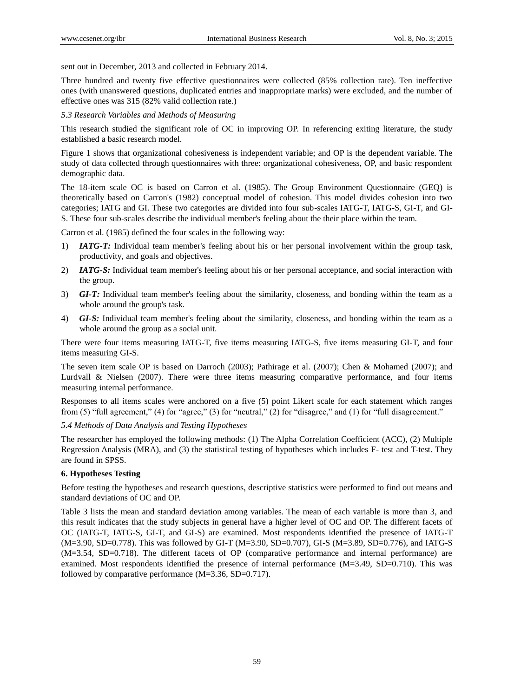sent out in December, 2013 and collected in February 2014.

Three hundred and twenty five effective questionnaires were collected (85% collection rate). Ten ineffective ones (with unanswered questions, duplicated entries and inappropriate marks) were excluded, and the number of effective ones was 315 (82% valid collection rate.)

*5.3 Research Variables and Methods of Measuring*

This research studied the significant role of OC in improving OP. In referencing exiting literature, the study established a basic research model.

Figure 1 shows that organizational cohesiveness is independent variable; and OP is the dependent variable. The study of data collected through questionnaires with three: organizational cohesiveness, OP, and basic respondent demographic data.

The 18-item scale OC is based on Carron et al. (1985). The Group Environment Questionnaire (GEQ) is theoretically based on Carron's (1982) conceptual model of cohesion. This model divides cohesion into two categories; IATG and GI. These two categories are divided into four sub-scales IATG-T, IATG-S, GI-T, and GI-S. These four sub-scales describe the individual member's feeling about the their place within the team.

Carron et al. (1985) defined the four scales in the following way:

- 1) *IATG-T:* Individual team member's feeling about his or her personal involvement within the group task, productivity, and goals and objectives.
- 2) *IATG-S:* Individual team member's feeling about his or her personal acceptance, and social interaction with the group.
- 3) *GI-T:* Individual team member's feeling about the similarity, closeness, and bonding within the team as a whole around the group's task.
- 4) *GI-S:* Individual team member's feeling about the similarity, closeness, and bonding within the team as a whole around the group as a social unit.

There were four items measuring IATG-T, five items measuring IATG-S, five items measuring GI-T, and four items measuring GI-S.

The seven item scale OP is based on Darroch (2003); Pathirage et al. (2007); Chen & Mohamed (2007); and Lurdvall & Nielsen (2007). There were three items measuring comparative performance, and four items measuring internal performance.

Responses to all items scales were anchored on a five (5) point Likert scale for each statement which ranges from (5) "full agreement," (4) for "agree," (3) for "neutral," (2) for "disagree," and (1) for "full disagreement."

*5.4 Methods of Data Analysis and Testing Hypotheses*

The researcher has employed the following methods: (1) The Alpha Correlation Coefficient (ACC), (2) Multiple Regression Analysis (MRA), and (3) the statistical testing of hypotheses which includes F- test and T-test. They are found in SPSS.

## **6. Hypotheses Testing**

Before testing the hypotheses and research questions, descriptive statistics were performed to find out means and standard deviations of OC and OP.

Table 3 lists the mean and standard deviation among variables. The mean of each variable is more than 3, and this result indicates that the study subjects in general have a higher level of OC and OP. The different facets of OC (IATG-T, IATG-S, GI-T, and GI-S) are examined. Most respondents identified the presence of IATG-T (M=3.90, SD=0.778). This was followed by GI-T (M=3.90, SD=0.707), GI-S (M=3.89, SD=0.776), and IATG-S (M=3.54, SD=0.718). The different facets of OP (comparative performance and internal performance) are examined. Most respondents identified the presence of internal performance (M=3.49, SD=0.710). This was followed by comparative performance (M=3.36, SD=0.717).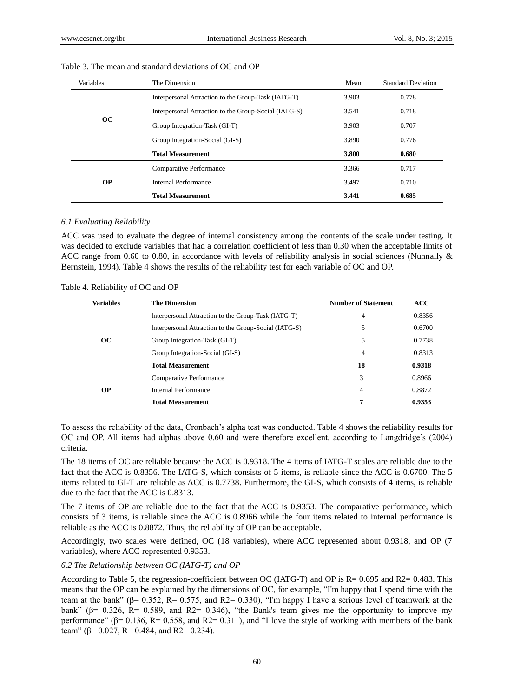| <b>Variables</b> | The Dimension                                         | Mean           | <b>Standard Deviation</b> |
|------------------|-------------------------------------------------------|----------------|---------------------------|
|                  | Interpersonal Attraction to the Group-Task (IATG-T)   | 3.903          | 0.778                     |
|                  | Interpersonal Attraction to the Group-Social (IATG-S) | 3.541          | 0.718                     |
| OC               | Group Integration-Task (GI-T)                         | 3.903<br>0.707 |                           |
|                  | Group Integration-Social (GI-S)                       | 3.890          | 0.776                     |
|                  | <b>Total Measurement</b>                              | 3.800          | 0.680                     |
|                  | Comparative Performance                               | 3.366          | 0.717                     |
| <b>OP</b>        | Internal Performance                                  | 3.497          | 0.710                     |
|                  | <b>Total Measurement</b>                              | 3.441          | 0.685                     |

## Table 3. The mean and standard deviations of OC and OP

#### *6.1 Evaluating Reliability*

ACC was used to evaluate the degree of internal consistency among the contents of the scale under testing. It was decided to exclude variables that had a correlation coefficient of less than 0.30 when the acceptable limits of ACC range from 0.60 to 0.80, in accordance with levels of reliability analysis in social sciences (Nunnally & Bernstein, 1994). Table 4 shows the results of the reliability test for each variable of OC and OP.

Table 4. Reliability of OC and OP

| <b>Variables</b> | <b>The Dimension</b>                                  | <b>Number of Statement</b> | <b>ACC</b> |
|------------------|-------------------------------------------------------|----------------------------|------------|
|                  | Interpersonal Attraction to the Group-Task (IATG-T)   | 4                          | 0.8356     |
|                  | Interpersonal Attraction to the Group-Social (IATG-S) | 5                          | 0.6700     |
| OC               | Group Integration-Task (GI-T)                         | 5                          | 0.7738     |
|                  | Group Integration-Social (GI-S)                       | 4                          | 0.8313     |
|                  | <b>Total Measurement</b>                              | 18                         | 0.9318     |
|                  | Comparative Performance                               | 3                          | 0.8966     |
| <b>OP</b>        | Internal Performance                                  | 4                          | 0.8872     |
|                  | <b>Total Measurement</b>                              | 7                          | 0.9353     |

To assess the reliability of the data, Cronbach's alpha test was conducted. Table 4 shows the reliability results for OC and OP. All items had alphas above 0.60 and were therefore excellent, according to Langdridge's (2004) criteria.

The 18 items of OC are reliable because the ACC is 0.9318. The 4 items of IATG-T scales are reliable due to the fact that the ACC is 0.8356. The IATG-S, which consists of 5 items, is reliable since the ACC is 0.6700. The 5 items related to GI-T are reliable as ACC is 0.7738. Furthermore, the GI-S, which consists of 4 items, is reliable due to the fact that the ACC is 0.8313.

The 7 items of OP are reliable due to the fact that the ACC is 0.9353. The comparative performance, which consists of 3 items, is reliable since the ACC is 0.8966 while the four items related to internal performance is reliable as the ACC is 0.8872. Thus, the reliability of OP can be acceptable.

Accordingly, two scales were defined, OC (18 variables), where ACC represented about 0.9318, and OP (7 variables), where ACC represented 0.9353.

## *6.2 The Relationship between OC (IATG-T) and OP*

According to Table 5, the regression-coefficient between OC (IATG-T) and OP is R= 0.695 and R2= 0.483. This means that the OP can be explained by the dimensions of OC, for example, "I'm happy that I spend time with the team at the bank" ( $\beta$ = 0.352, R= 0.575, and R2= 0.330), "I'm happy I have a serious level of teamwork at the bank" ( $\beta$ = 0.326, R= 0.589, and R2= 0.346), "the Bank's team gives me the opportunity to improve my performance" ( $\beta$ = 0.136, R= 0.558, and R2= 0.311), and "I love the style of working with members of the bank team" ( $\beta$ = 0.027, R= 0.484, and R2= 0.234).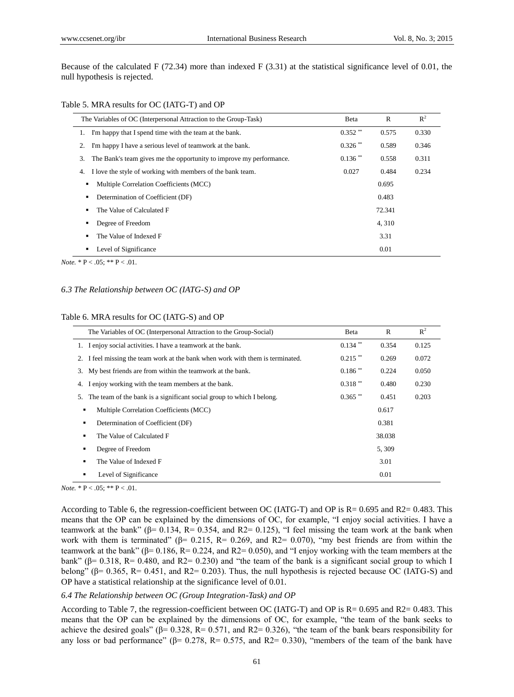Because of the calculated F (72.34) more than indexed F (3.31) at the statistical significance level of 0.01, the null hypothesis is rejected.

|  |  |  |  | Table 5. MRA results for OC (IATG-T) and OP |  |  |
|--|--|--|--|---------------------------------------------|--|--|
|--|--|--|--|---------------------------------------------|--|--|

| The Variables of OC (Interpersonal Attraction to the Group-Task)          | Beta                  | $\mathbb{R}$ | $R^2$ |
|---------------------------------------------------------------------------|-----------------------|--------------|-------|
| I'm happy that I spend time with the team at the bank.<br>1.              | $0.352$ **            | 0.575        | 0.330 |
| I'm happy I have a serious level of teamwork at the bank.<br>2.           | $0.326$ **            | 0.589        | 0.346 |
| The Bank's team gives me the opportunity to improve my performance.<br>3. | $0.136$ <sup>**</sup> | 0.558        | 0.311 |
| I love the style of working with members of the bank team.<br>4.          | 0.027                 | 0.484        | 0.234 |
| Multiple Correlation Coefficients (MCC)                                   |                       | 0.695        |       |
| Determination of Coefficient (DF)                                         |                       | 0.483        |       |
| The Value of Calculated F                                                 | 72.341                |              |       |
| Degree of Freedom                                                         |                       | 4,310        |       |
| The Value of Indexed F                                                    |                       | 3.31         |       |
| Level of Significance                                                     |                       | 0.01         |       |

*Note.*  $* P < .05$ ;  $** P < .01$ .

#### *6.3 The Relationship between OC (IATG-S) and OP*

#### Table 6. MRA results for OC (IATG-S) and OP

| The Variables of OC (Interpersonal Attraction to the Group-Social)             | Beta                  | $\mathbb{R}$ | $R^2$ |
|--------------------------------------------------------------------------------|-----------------------|--------------|-------|
| 1. I enjoy social activities. I have a teamwork at the bank.                   | $0.134$ **            | 0.354        | 0.125 |
| 2. I feel missing the team work at the bank when work with them is terminated. | $0.215$ **            | 0.269        | 0.072 |
| 3. My best friends are from within the teamwork at the bank.                   | $0.186$ <sup>**</sup> | 0.224        | 0.050 |
| I enjoy working with the team members at the bank.<br>4.                       | $0.318$ **            | 0.480        | 0.230 |
| The team of the bank is a significant social group to which I belong.<br>5.    | $0.365$ **            | 0.451        | 0.203 |
| Multiple Correlation Coefficients (MCC)<br>٠                                   |                       | 0.617        |       |
| Determination of Coefficient (DF)<br>٠                                         |                       | 0.381        |       |
| The Value of Calculated F<br>٠                                                 |                       | 38.038       |       |
| Degree of Freedom<br>$\blacksquare$                                            |                       | 5,309        |       |
| The Value of Indexed F<br>$\blacksquare$                                       | 3.01                  |              |       |
| Level of Significance<br>٠                                                     |                       | 0.01         |       |

*Note.*  $* P < .05$ ;  $** P < .01$ .

According to Table 6, the regression-coefficient between OC (IATG-T) and OP is R= 0.695 and R2= 0.483. This means that the OP can be explained by the dimensions of OC, for example, "I enjoy social activities. I have a teamwork at the bank" ( $\beta$ = 0.134, R= 0.354, and R2= 0.125), "I feel missing the team work at the bank when work with them is terminated" ( $\beta$ = 0.215, R= 0.269, and R2= 0.070), "my best friends are from within the teamwork at the bank" ( $\beta$ = 0.186, R= 0.224, and R2= 0.050), and "I enjoy working with the team members at the bank" ( $\beta$ = 0.318, R= 0.480, and R2= 0.230) and "the team of the bank is a significant social group to which I belong" ( $\beta$ = 0.365, R= 0.451, and R2= 0.203). Thus, the null hypothesis is rejected because OC (IATG-S) and OP have a statistical relationship at the significance level of 0.01.

#### *6.4 The Relationship between OC (Group Integration-Task) and OP*

According to Table 7, the regression-coefficient between OC (IATG-T) and OP is R= 0.695 and R2= 0.483. This means that the OP can be explained by the dimensions of OC, for example, "the team of the bank seeks to achieve the desired goals" ( $\beta$ = 0.328, R= 0.571, and R2= 0.326), "the team of the bank bears responsibility for any loss or bad performance" (β= 0.278, R= 0.575, and R2= 0.330), "members of the team of the bank have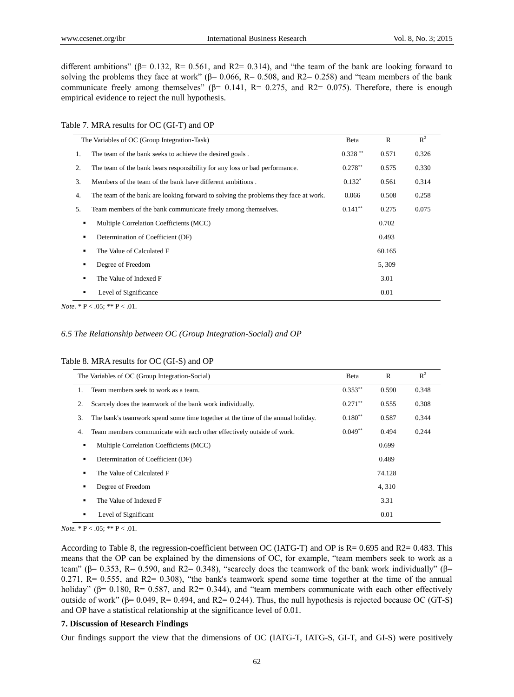different ambitions" ( $\beta$ = 0.132, R= 0.561, and R2= 0.314), and "the team of the bank are looking forward to solving the problems they face at work" ( $\beta$ = 0.066, R= 0.508, and R2= 0.258) and "team members of the bank communicate freely among themselves" ( $\beta$ = 0.141, R= 0.275, and R2= 0.075). Therefore, there is enough empirical evidence to reject the null hypothesis.

Table 7. MRA results for OC (GI-T) and OP

|                | The Variables of OC (Group Integration-Task)                                        | Beta       | R      | $R^2$ |
|----------------|-------------------------------------------------------------------------------------|------------|--------|-------|
| 1.             | The team of the bank seeks to achieve the desired goals.                            | $0.328$ ** | 0.571  | 0.326 |
| 2.             | The team of the bank bears responsibility for any loss or bad performance.          | $0.278**$  | 0.575  | 0.330 |
| 3.             | Members of the team of the bank have different ambitions.                           | $0.132*$   | 0.561  | 0.314 |
| 4.             | The team of the bank are looking forward to solving the problems they face at work. | 0.066      | 0.508  | 0.258 |
| 5.             | Team members of the bank communicate freely among themselves.                       | $0.141**$  | 0.275  | 0.075 |
| ٠              | Multiple Correlation Coefficients (MCC)                                             |            | 0.702  |       |
| ٠              | Determination of Coefficient (DF)                                                   |            | 0.493  |       |
| $\blacksquare$ | The Value of Calculated F                                                           |            | 60.165 |       |
| ٠              | Degree of Freedom                                                                   |            | 5,309  |       |
| ٠              | The Value of Indexed F                                                              |            | 3.01   |       |
| ٠              | Level of Significance                                                               |            | 0.01   |       |

*Note*.  $* P < .05$ ;  $* P < .01$ .

#### *6.5 The Relationship between OC (Group Integration-Social) and OP*

|                | The Variables of OC (Group Integration-Social)                                  | Beta       | $\mathbb{R}$ | $R^2$ |
|----------------|---------------------------------------------------------------------------------|------------|--------------|-------|
|                | Team members seek to work as a team.                                            | $0.353**$  | 0.590        | 0.348 |
| 2.             | Scarcely does the teamwork of the bank work individually.                       | $0.271$ ** | 0.555        | 0.308 |
| 3.             | The bank's teamwork spend some time together at the time of the annual holiday. | $0.180**$  | 0.587        | 0.344 |
| 4.             | Team members communicate with each other effectively outside of work.           | $0.049**$  | 0.494        | 0.244 |
| ٠              | Multiple Correlation Coefficients (MCC)                                         |            | 0.699        |       |
| ٠              | Determination of Coefficient (DF)                                               |            | 0.489        |       |
|                | The Value of Calculated F                                                       |            | 74.128       |       |
| ٠              | Degree of Freedom                                                               |            | 4,310        |       |
| $\blacksquare$ | The Value of Indexed F                                                          |            | 3.31         |       |
|                | Level of Significant                                                            |            | 0.01         |       |

#### Table 8. MRA results for OC (GI-S) and OP

*Note.*  $* P < .05$ ;  $** P < .01$ .

According to Table 8, the regression-coefficient between OC (IATG-T) and OP is R= 0.695 and R2= 0.483. This means that the OP can be explained by the dimensions of OC, for example, "team members seek to work as a team" ( $\beta$ = 0.353, R= 0.590, and R2= 0.348), "scarcely does the teamwork of the bank work individually" ( $\beta$ =  $0.271$ ,  $R = 0.555$ , and  $R2 = 0.308$ ), "the bank's teamwork spend some time together at the time of the annual holiday" ( $\beta$ = 0.180, R= 0.587, and R2= 0.344), and "team members communicate with each other effectively outside of work" (β= 0.049, R= 0.494, and R2= 0.244). Thus, the null hypothesis is rejected because OC (GT-S) and OP have a statistical relationship at the significance level of 0.01.

#### **7. Discussion of Research Findings**

Our findings support the view that the dimensions of OC (IATG-T, IATG-S, GI-T, and GI-S) were positively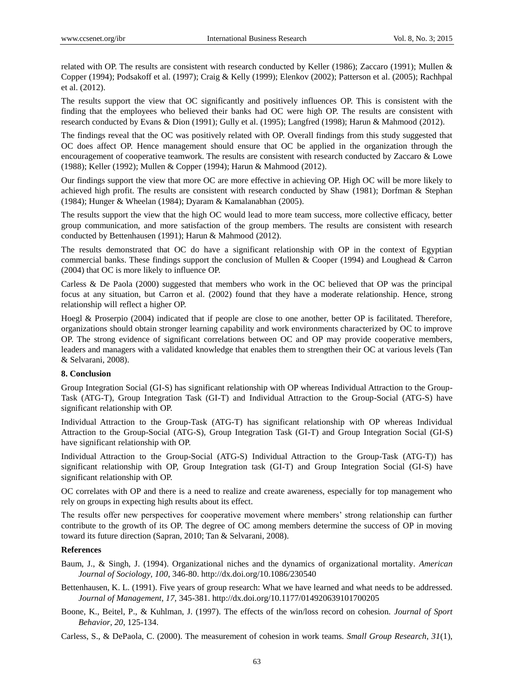related with OP. The results are consistent with research conducted by Keller (1986); Zaccaro (1991); Mullen & Copper (1994); Podsakoff et al. (1997); Craig & Kelly (1999); Elenkov (2002); Patterson et al. (2005); Rachhpal et al. (2012).

The results support the view that OC significantly and positively influences OP. This is consistent with the finding that the employees who believed their banks had OC were high OP. The results are consistent with research conducted by Evans & Dion (1991); Gully et al. (1995); Langfred (1998); Harun & Mahmood (2012).

The findings reveal that the OC was positively related with OP. Overall findings from this study suggested that OC does affect OP. Hence management should ensure that OC be applied in the organization through the encouragement of cooperative teamwork. The results are consistent with research conducted by Zaccaro & Lowe (1988); Keller (1992); Mullen & Copper (1994); Harun & Mahmood (2012).

Our findings support the view that more OC are more effective in achieving OP. High OC will be more likely to achieved high profit. The results are consistent with research conducted by Shaw (1981); Dorfman & Stephan (1984); Hunger & Wheelan (1984); Dyaram & Kamalanabhan (2005).

The results support the view that the high OC would lead to more team success, more collective efficacy, better group communication, and more satisfaction of the group members. The results are consistent with research conducted by Bettenhausen (1991); Harun & Mahmood (2012).

The results demonstrated that OC do have a significant relationship with OP in the context of Egyptian commercial banks. These findings support the conclusion of Mullen & Cooper (1994) and Loughead & Carron (2004) that OC is more likely to influence OP.

Carless & De Paola (2000) suggested that members who work in the OC believed that OP was the principal focus at any situation, but Carron et al. (2002) found that they have a moderate relationship. Hence, strong relationship will reflect a higher OP.

Hoegl & Proserpio (2004) indicated that if people are close to one another, better OP is facilitated. Therefore, organizations should obtain stronger learning capability and work environments characterized by OC to improve OP. The strong evidence of significant correlations between OC and OP may provide cooperative members, leaders and managers with a validated knowledge that enables them to strengthen their OC at various levels (Tan & Selvarani, 2008).

## **8. Conclusion**

Group Integration Social (GI-S) has significant relationship with OP whereas Individual Attraction to the Group-Task (ATG-T), Group Integration Task (GI-T) and Individual Attraction to the Group-Social (ATG-S) have significant relationship with OP.

Individual Attraction to the Group-Task (ATG-T) has significant relationship with OP whereas Individual Attraction to the Group-Social (ATG-S), Group Integration Task (GI-T) and Group Integration Social (GI-S) have significant relationship with OP.

Individual Attraction to the Group-Social (ATG-S) Individual Attraction to the Group-Task (ATG-T)) has significant relationship with OP, Group Integration task (GI-T) and Group Integration Social (GI-S) have significant relationship with OP.

OC correlates with OP and there is a need to realize and create awareness, especially for top management who rely on groups in expecting high results about its effect.

The results offer new perspectives for cooperative movement where members' strong relationship can further contribute to the growth of its OP. The degree of OC among members determine the success of OP in moving toward its future direction (Sapran, 2010; Tan & Selvarani, 2008).

## **References**

- Baum, J., & Singh, J. (1994). Organizational niches and the dynamics of organizational mortality. *American Journal of Sociology, 100*, 346-80. http://dx.doi.org/10.1086/230540
- Bettenhausen, K. L. (1991). Five years of group research: What we have learned and what needs to be addressed. *Journal of Management, 17,* 345-381. http://dx.doi.org/10.1177/014920639101700205
- Boone, K., Beitel, P., & Kuhlman, J. (1997). The effects of the win/loss record on cohesion. *Journal of Sport Behavior, 20*, 125-134.

Carless, S., & DePaola, C. (2000). The measurement of cohesion in work teams. *Small Group Research, 31*(1),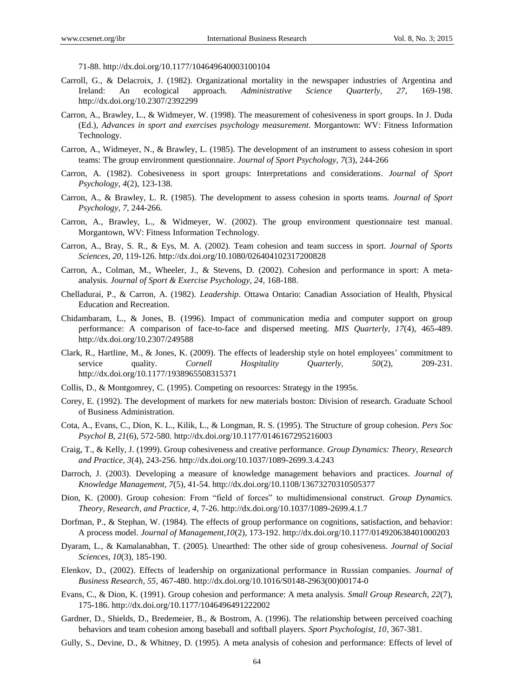71-88. http://dx.doi.org/10.1177/104649640003100104

- Carroll, G., & Delacroix, J. (1982). Organizational mortality in the newspaper industries of Argentina and Ireland: An ecological approach. *Administrative Science Quarterly, 27,* 169-198. http://dx.doi.org/10.2307/2392299
- Carron, A., Brawley, L., & Widmeyer, W. (1998). The measurement of cohesiveness in sport groups. In J. Duda (Ed.), *Advances in sport and exercises psychology measurement*. Morgantown: WV: Fitness Information Technology.
- Carron, A., Widmeyer, N., & Brawley, L. (1985). The development of an instrument to assess cohesion in sport teams: The group environment questionnaire. *Journal of Sport Psychology, 7*(3), 244-266
- Carron, A. (1982). Cohesiveness in sport groups: Interpretations and considerations. *Journal of Sport Psychology, 4*(2), 123-138.
- Carron, A., & Brawley, L. R. (1985). The development to assess cohesion in sports teams. *Journal of Sport Psychology, 7,* 244-266.
- Carron, A., Brawley, L., & Widmeyer, W. (2002). The group environment questionnaire test manual. Morgantown, WV: Fitness Information Technology.
- Carron, A., Bray, S. R., & Eys, M. A. (2002). Team cohesion and team success in sport. *Journal of Sports Sciences, 20*, 119-126. http://dx.doi.org/10.1080/026404102317200828
- Carron, A., Colman, M., Wheeler, J., & Stevens, D. (2002). Cohesion and performance in sport: A metaanalysis. *Journal of Sport & Exercise Psychology, 24,* 168-188.
- Chelladurai, P., & Carron, A. (1982). *Leadership*. Ottawa Ontario: Canadian Association of Health, Physical Education and Recreation.
- Chidambaram, L., & Jones, B. (1996). Impact of communication media and computer support on group performance: A comparison of face-to-face and dispersed meeting. *MIS Quarterly, 17*(4), 465-489. http://dx.doi.org/10.2307/249588
- Clark, R., Hartline, M., & Jones, K. (2009). The effects of leadership style on hotel employees' commitment to service quality. *Cornell Hospitality Quarterly, 50*(2), 209-231. http://dx.doi.org/10.1177/1938965508315371
- Collis, D., & Montgomrey, C. (1995). Competing on resources: Strategy in the 1995s.
- Corey, E. (1992). The development of markets for new materials boston: Division of research. Graduate School of Business Administration.
- Cota, A., Evans, C., Dion, K. L., Kilik, L., & Longman, R. S. (1995). The Structure of group cohesion. *Pers Soc Psychol B, 21*(6), 572-580. http://dx.doi.org/10.1177/0146167295216003
- Craig, T., & Kelly, J. (1999). Group cohesiveness and creative performance. *Group Dynamics: Theory, Research and Practice, 3*(4), 243-256. http://dx.doi.org/10.1037/1089-2699.3.4.243
- Darroch, J. (2003). Developing a measure of knowledge management behaviors and practices. *Journal of Knowledge Management, 7*(5), 41-54. http://dx.doi.org/10.1108/13673270310505377
- Dion, K. (2000). Group cohesion: From "field of forces" to multidimensional construct. *Group Dynamics. Theory, Research, and Practice, 4,* 7-26. http://dx.doi.org/10.1037/1089-2699.4.1.7
- Dorfman, P., & Stephan, W. (1984). The effects of group performance on cognitions, satisfaction, and behavior: A process model. *Journal of Management,10*(2), 173-192. http://dx.doi.org/10.1177/014920638401000203
- Dyaram, L., & Kamalanabhan, T. (2005). Unearthed: The other side of group cohesiveness. *Journal of Social Sciences, 10*(3), 185-190.
- Elenkov, D., (2002). Effects of leadership on organizational performance in Russian companies. *Journal of Business Research, 55*, 467-480. http://dx.doi.org/10.1016/S0148-2963(00)00174-0
- Evans, C., & Dion, K. (1991). Group cohesion and performance: A meta analysis. *Small Group Research, 22*(7), 175-186. http://dx.doi.org/10.1177/1046496491222002
- Gardner, D., Shields, D., Bredemeier, B., & Bostrom, A. (1996). The relationship between perceived coaching behaviors and team cohesion among baseball and softball players. *Sport Psychologist, 10*, 367-381.
- Gully, S., Devine, D., & Whitney, D. (1995). A meta analysis of cohesion and performance: Effects of level of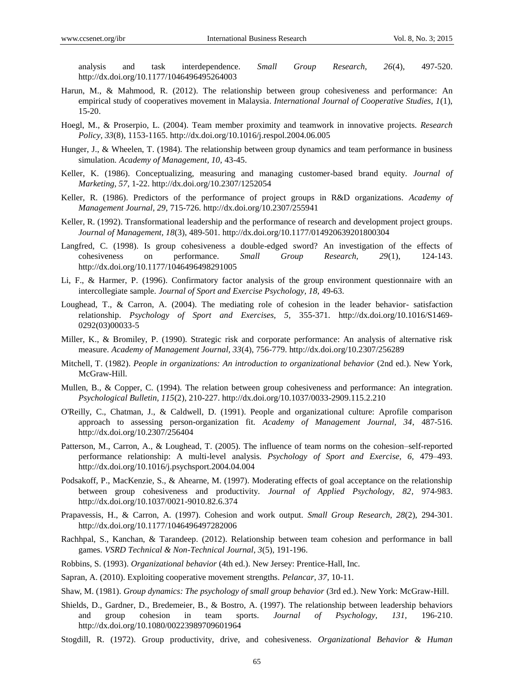analysis and task interdependence. *Small Group Research, 26*(4), 497-520. http://dx.doi.org/10.1177/1046496495264003

- Harun, M., & Mahmood, R. (2012). The relationship between group cohesiveness and performance: An empirical study of cooperatives movement in Malaysia. *International Journal of Cooperative Studies, 1*(1), 15-20.
- Hoegl, M., & Proserpio, L. (2004). Team member proximity and teamwork in innovative projects. *Research Policy, 33*(8), 1153-1165. http://dx.doi.org/10.1016/j.respol.2004.06.005
- Hunger, J., & Wheelen, T. (1984). The relationship between group dynamics and team performance in business simulation. *Academy of Management, 10,* 43-45.
- Keller, K. (1986). Conceptualizing, measuring and managing customer-based brand equity. *Journal of Marketing, 57*, 1-22. http://dx.doi.org/10.2307/1252054
- Keller, R. (1986). Predictors of the performance of project groups in R&D organizations. *Academy of Management Journal, 29,* 715-726. http://dx.doi.org/10.2307/255941
- Keller, R. (1992). Transformational leadership and the performance of research and development project groups*. Journal of Management, 18*(3), 489-501. http://dx.doi.org/10.1177/014920639201800304
- Langfred, C. (1998). Is group cohesiveness a double-edged sword? An investigation of the effects of cohesiveness on performance. *Small Group Research, 29*(1), 124-143. http://dx.doi.org/10.1177/1046496498291005
- Li, F., & Harmer, P. (1996). Confirmatory factor analysis of the group environment questionnaire with an intercollegiate sample. *Journal of Sport and Exercise Psychology, 18,* 49-63.
- Loughead, T., & Carron, A. (2004). The mediating role of cohesion in the leader behavior- satisfaction relationship. *Psychology of Sport and Exercises, 5,* 355-371. http://dx.doi.org/10.1016/S1469- 0292(03)00033-5
- Miller, K., & Bromiley, P. (1990). Strategic risk and corporate performance: An analysis of alternative risk measure. *Academy of Management Journal, 33*(4), 756-779. http://dx.doi.org/10.2307/256289
- Mitchell, T. (1982). *People in organizations: An introduction to organizational behavior* (2nd ed.). New York, McGraw-Hill.
- Mullen, B., & Copper, C. (1994). The relation between group cohesiveness and performance: An integration. *Psychological Bulletin, 115*(2), 210-227. http://dx.doi.org/10.1037/0033-2909.115.2.210
- O'Reilly, C., Chatman, J., & Caldwell, D. (1991). People and organizational culture: Aprofile comparison approach to assessing person-organization fit. *Academy of Management Journal, 34*, 487-516. http://dx.doi.org/10.2307/256404
- Patterson, M., Carron, A., & Loughead, T. (2005). The influence of team norms on the cohesion–self-reported performance relationship: A multi-level analysis. *Psychology of Sport and Exercise, 6,* 479–493. http://dx.doi.org/10.1016/j.psychsport.2004.04.004
- Podsakoff, P., MacKenzie, S., & Ahearne, M. (1997). Moderating effects of goal acceptance on the relationship between group cohesiveness and productivity. *Journal of Applied Psychology, 82,* 974-983. http://dx.doi.org/10.1037/0021-9010.82.6.374
- Prapavessis, H., & Carron, A. (1997). Cohesion and work output. *Small Group Research, 28*(2), 294-301. http://dx.doi.org/10.1177/1046496497282006
- Rachhpal, S., Kanchan, & Tarandeep. (2012). Relationship between team cohesion and performance in ball games. *VSRD Technical & Non-Technical Journal, 3*(5), 191-196.
- Robbins, S. (1993). *Organizational behavior* (4th ed.). New Jersey: Prentice-Hall, Inc.
- Sapran, A. (2010). Exploiting cooperative movement strengths. *Pelancar, 37,* 10-11.
- Shaw, M. (1981). *Group dynamics: The psychology of small group behavior* (3rd ed.). New York: McGraw-Hill.
- Shields, D., Gardner, D., Bredemeier, B., & Bostro, A. (1997). The relationship between leadership behaviors and group cohesion in team sports. *Journal of Psychology, 131,* 196-210. http://dx.doi.org/10.1080/00223989709601964
- Stogdill, R. (1972). Group productivity, drive, and cohesiveness. *Organizational Behavior & Human*